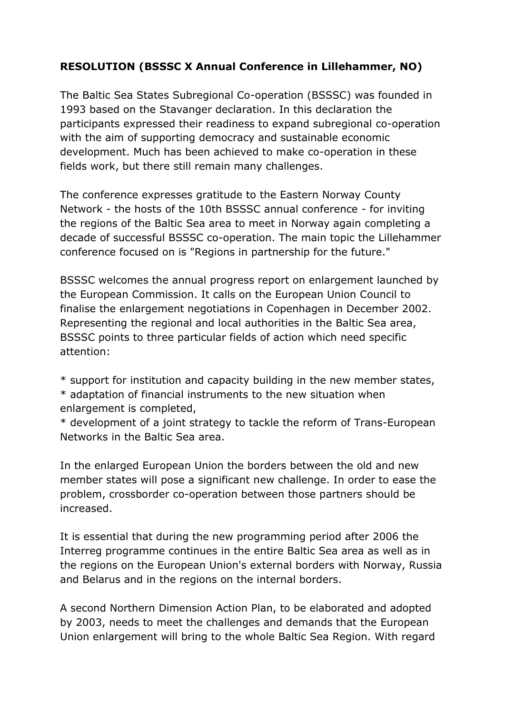## **RESOLUTION (BSSSC X Annual Conference in Lillehammer, NO)**

The Baltic Sea States Subregional Co-operation (BSSSC) was founded in 1993 based on the Stavanger declaration. In this declaration the participants expressed their readiness to expand subregional co-operation with the aim of supporting democracy and sustainable economic development. Much has been achieved to make co-operation in these fields work, but there still remain many challenges.

The conference expresses gratitude to the Eastern Norway County Network - the hosts of the 10th BSSSC annual conference - for inviting the regions of the Baltic Sea area to meet in Norway again completing a decade of successful BSSSC co-operation. The main topic the Lillehammer conference focused on is "Regions in partnership for the future."

BSSSC welcomes the annual progress report on enlargement launched by the European Commission. It calls on the European Union Council to finalise the enlargement negotiations in Copenhagen in December 2002. Representing the regional and local authorities in the Baltic Sea area, BSSSC points to three particular fields of action which need specific attention:

\* support for institution and capacity building in the new member states,

\* adaptation of financial instruments to the new situation when enlargement is completed,

\* development of a joint strategy to tackle the reform of Trans-European Networks in the Baltic Sea area.

In the enlarged European Union the borders between the old and new member states will pose a significant new challenge. In order to ease the problem, crossborder co-operation between those partners should be increased.

It is essential that during the new programming period after 2006 the Interreg programme continues in the entire Baltic Sea area as well as in the regions on the European Union's external borders with Norway, Russia and Belarus and in the regions on the internal borders.

A second Northern Dimension Action Plan, to be elaborated and adopted by 2003, needs to meet the challenges and demands that the European Union enlargement will bring to the whole Baltic Sea Region. With regard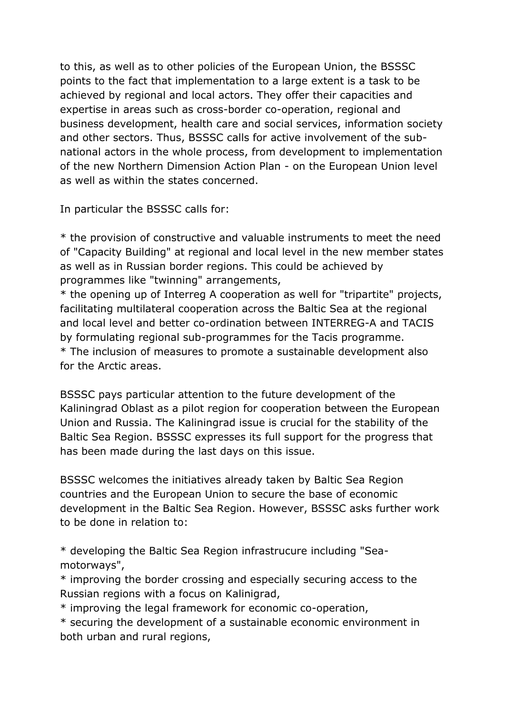to this, as well as to other policies of the European Union, the BSSSC points to the fact that implementation to a large extent is a task to be achieved by regional and local actors. They offer their capacities and expertise in areas such as cross-border co-operation, regional and business development, health care and social services, information society and other sectors. Thus, BSSSC calls for active involvement of the subnational actors in the whole process, from development to implementation of the new Northern Dimension Action Plan - on the European Union level as well as within the states concerned.

In particular the BSSSC calls for:

\* the provision of constructive and valuable instruments to meet the need of "Capacity Building" at regional and local level in the new member states as well as in Russian border regions. This could be achieved by programmes like "twinning" arrangements,

\* the opening up of Interreg A cooperation as well for "tripartite" projects, facilitating multilateral cooperation across the Baltic Sea at the regional and local level and better co-ordination between INTERREG-A and TACIS by formulating regional sub-programmes for the Tacis programme. \* The inclusion of measures to promote a sustainable development also for the Arctic areas.

BSSSC pays particular attention to the future development of the Kaliningrad Oblast as a pilot region for cooperation between the European Union and Russia. The Kaliningrad issue is crucial for the stability of the Baltic Sea Region. BSSSC expresses its full support for the progress that has been made during the last days on this issue.

BSSSC welcomes the initiatives already taken by Baltic Sea Region countries and the European Union to secure the base of economic development in the Baltic Sea Region. However, BSSSC asks further work to be done in relation to:

\* developing the Baltic Sea Region infrastrucure including "Seamotorways",

\* improving the border crossing and especially securing access to the Russian regions with a focus on Kalinigrad,

\* improving the legal framework for economic co-operation,

\* securing the development of a sustainable economic environment in both urban and rural regions,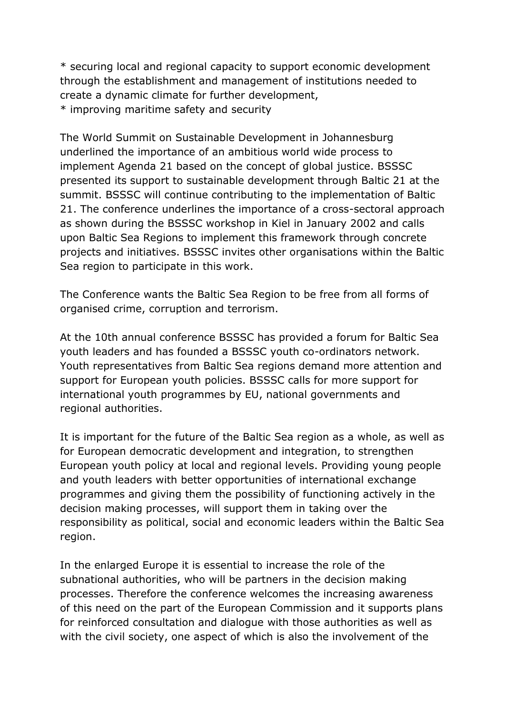\* securing local and regional capacity to support economic development through the establishment and management of institutions needed to create a dynamic climate for further development,

\* improving maritime safety and security

The World Summit on Sustainable Development in Johannesburg underlined the importance of an ambitious world wide process to implement Agenda 21 based on the concept of global justice. BSSSC presented its support to sustainable development through Baltic 21 at the summit. BSSSC will continue contributing to the implementation of Baltic 21. The conference underlines the importance of a cross-sectoral approach as shown during the BSSSC workshop in Kiel in January 2002 and calls upon Baltic Sea Regions to implement this framework through concrete projects and initiatives. BSSSC invites other organisations within the Baltic Sea region to participate in this work.

The Conference wants the Baltic Sea Region to be free from all forms of organised crime, corruption and terrorism.

At the 10th annual conference BSSSC has provided a forum for Baltic Sea youth leaders and has founded a BSSSC youth co-ordinators network. Youth representatives from Baltic Sea regions demand more attention and support for European youth policies. BSSSC calls for more support for international youth programmes by EU, national governments and regional authorities.

It is important for the future of the Baltic Sea region as a whole, as well as for European democratic development and integration, to strengthen European youth policy at local and regional levels. Providing young people and youth leaders with better opportunities of international exchange programmes and giving them the possibility of functioning actively in the decision making processes, will support them in taking over the responsibility as political, social and economic leaders within the Baltic Sea region.

In the enlarged Europe it is essential to increase the role of the subnational authorities, who will be partners in the decision making processes. Therefore the conference welcomes the increasing awareness of this need on the part of the European Commission and it supports plans for reinforced consultation and dialogue with those authorities as well as with the civil society, one aspect of which is also the involvement of the